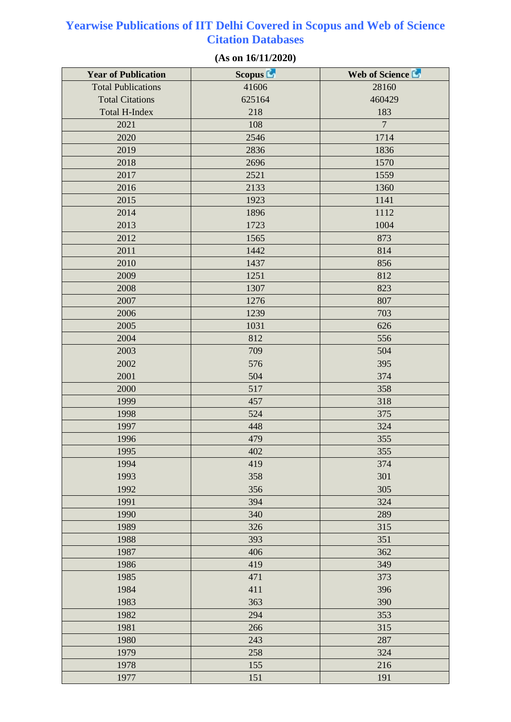## **Yearwise Publications of IIT Delhi Covered in Scopus and Web of Science Citation Databases**

| <b>Year of Publication</b> | Scopus <sup>[5]</sup> | Web of Science |
|----------------------------|-----------------------|----------------|
| <b>Total Publications</b>  | 41606                 | 28160          |
| <b>Total Citations</b>     | 625164                | 460429         |
| <b>Total H-Index</b>       | 218                   | 183            |
| 2021                       | 108                   | $\overline{7}$ |
| 2020                       | 2546                  | 1714           |
| 2019                       | 2836                  | 1836           |
| 2018                       | 2696                  | 1570           |
| 2017                       | 2521                  | 1559           |
| 2016                       | 2133                  | 1360           |
| 2015                       | 1923                  | 1141           |
| 2014                       | 1896                  | 1112           |
| 2013                       | 1723                  | 1004           |
| 2012                       | 1565                  | 873            |
| 2011                       | 1442                  | 814            |
| 2010                       | 1437                  | 856            |
| 2009                       | 1251                  | 812            |
| 2008                       | 1307                  | 823            |
| 2007                       | 1276                  | 807            |
| 2006                       | 1239                  | 703            |
| 2005                       | 1031                  | 626            |
| 2004                       | 812                   | 556            |
| 2003                       | 709                   | 504            |
| 2002                       | 576                   | 395            |
| 2001                       | 504                   | 374            |
| 2000                       | 517                   | 358            |
| 1999                       | 457                   | 318            |
| 1998                       | 524                   | 375            |
| 1997                       | 448                   | 324            |
| 1996                       | 479                   | 355            |
| 1995                       | 402                   | 355            |
| 1994                       | 419                   | 374            |
| 1993                       | 358                   | 301            |
| 1992                       | 356                   | 305            |
| 1991                       | 394                   | 324            |
| 1990                       | 340                   | 289            |
| 1989                       | 326                   | 315            |
| 1988                       | 393                   | 351            |
| 1987                       | 406                   | 362            |
| 1986                       | 419                   | 349            |
| 1985                       | 471                   | 373            |
| 1984                       | 411                   | 396            |
| 1983                       | 363                   | 390            |
| 1982                       | 294                   | 353            |
| 1981                       | 266                   | 315            |
| 1980                       | 243                   | 287            |
| 1979                       | 258                   | 324            |
| 1978                       | 155                   | 216            |
| 1977                       | 151                   | 191            |

## **(As on 16/11/2020)**